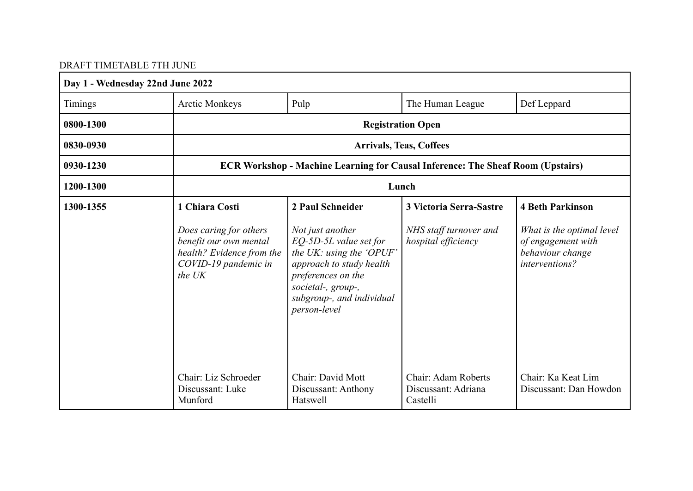# DRAFT TIMETABLE 7TH JUNE

| Day 1 - Wednesday 22nd June 2022 |                                                                                                                 |                                                                                                                                                                                             |                                                        |                                                                                       |
|----------------------------------|-----------------------------------------------------------------------------------------------------------------|---------------------------------------------------------------------------------------------------------------------------------------------------------------------------------------------|--------------------------------------------------------|---------------------------------------------------------------------------------------|
| Timings                          | <b>Arctic Monkeys</b>                                                                                           | Pulp                                                                                                                                                                                        | The Human League                                       | Def Leppard                                                                           |
| 0800-1300                        |                                                                                                                 |                                                                                                                                                                                             | <b>Registration Open</b>                               |                                                                                       |
| 0830-0930                        |                                                                                                                 |                                                                                                                                                                                             | <b>Arrivals, Teas, Coffees</b>                         |                                                                                       |
| 0930-1230                        | <b>ECR Workshop - Machine Learning for Causal Inference: The Sheaf Room (Upstairs)</b>                          |                                                                                                                                                                                             |                                                        |                                                                                       |
| 1200-1300                        |                                                                                                                 |                                                                                                                                                                                             | Lunch                                                  |                                                                                       |
| 1300-1355                        | 1 Chiara Costi                                                                                                  | 2 Paul Schneider                                                                                                                                                                            | <b>3 Victoria Serra-Sastre</b>                         | <b>4 Beth Parkinson</b>                                                               |
|                                  | Does caring for others<br>benefit our own mental<br>health? Evidence from the<br>COVID-19 pandemic in<br>the UK | Not just another<br>EQ-5D-5L value set for<br>the UK: using the 'OPUF'<br>approach to study health<br>preferences on the<br>societal-, group-,<br>subgroup-, and individual<br>person-level | NHS staff turnover and<br>hospital efficiency          | What is the optimal level<br>of engagement with<br>behaviour change<br>interventions? |
|                                  | Chair: Liz Schroeder<br>Discussant: Luke<br>Munford                                                             | Chair: David Mott<br>Discussant: Anthony<br>Hatswell                                                                                                                                        | Chair: Adam Roberts<br>Discussant: Adriana<br>Castelli | Chair: Ka Keat Lim<br>Discussant: Dan Howdon                                          |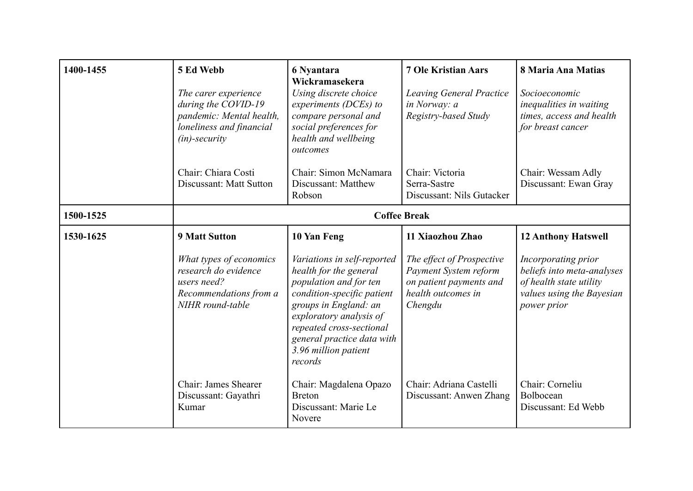| 1400-1455 | 5 Ed Webb<br>The carer experience<br>during the COVID-19<br>pandemic: Mental health,<br>loneliness and financial<br>$(in)$ -security | 6 Nyantara<br>Wickramasekera<br>Using discrete choice<br>experiments (DCEs) to<br>compare personal and<br>social preferences for<br>health and wellbeing<br>outcomes                                                                                           | <b>7 Ole Kristian Aars</b><br><b>Leaving General Practice</b><br>in Norway: a<br>Registry-based Study          | 8 Maria Ana Matias<br>Socioeconomic<br>inequalities in waiting<br>times, access and health<br>for breast cancer          |
|-----------|--------------------------------------------------------------------------------------------------------------------------------------|----------------------------------------------------------------------------------------------------------------------------------------------------------------------------------------------------------------------------------------------------------------|----------------------------------------------------------------------------------------------------------------|--------------------------------------------------------------------------------------------------------------------------|
|           | Chair: Chiara Costi<br>Discussant: Matt Sutton                                                                                       | Chair: Simon McNamara<br>Discussant: Matthew<br>Robson                                                                                                                                                                                                         | Chair: Victoria<br>Serra-Sastre<br>Discussant: Nils Gutacker                                                   | Chair: Wessam Adly<br>Discussant: Ewan Gray                                                                              |
| 1500-1525 | <b>Coffee Break</b>                                                                                                                  |                                                                                                                                                                                                                                                                |                                                                                                                |                                                                                                                          |
| 1530-1625 | <b>9 Matt Sutton</b>                                                                                                                 | 10 Yan Feng                                                                                                                                                                                                                                                    | 11 Xiaozhou Zhao                                                                                               | <b>12 Anthony Hatswell</b>                                                                                               |
|           | What types of economics<br>research do evidence<br>users need?<br>Recommendations from a<br>NIHR round-table                         | Variations in self-reported<br>health for the general<br>population and for ten<br>condition-specific patient<br>groups in England: an<br>exploratory analysis of<br>repeated cross-sectional<br>general practice data with<br>3.96 million patient<br>records | The effect of Prospective<br>Payment System reform<br>on patient payments and<br>health outcomes in<br>Chengdu | Incorporating prior<br>beliefs into meta-analyses<br>of health state utility<br>values using the Bayesian<br>power prior |
|           | Chair: James Shearer<br>Discussant: Gayathri<br>Kumar                                                                                | Chair: Magdalena Opazo<br><b>Breton</b><br>Discussant: Marie Le<br>Novere                                                                                                                                                                                      | Chair: Adriana Castelli<br>Discussant: Anwen Zhang                                                             | Chair: Corneliu<br>Bolbocean<br>Discussant: Ed Webb                                                                      |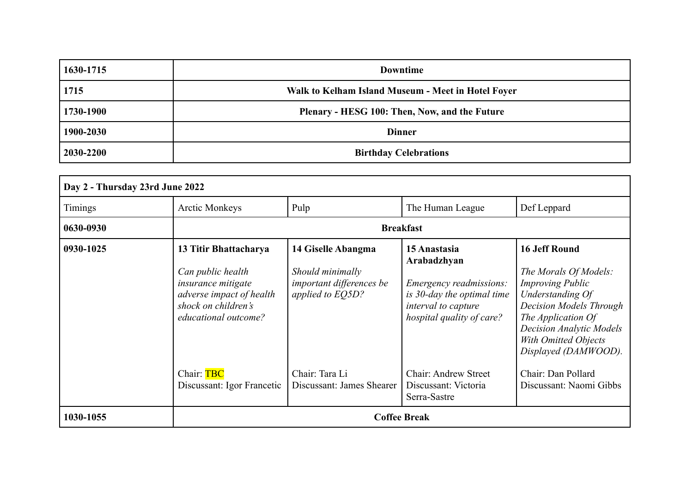| 1630-1715 | <b>Downtime</b>                                    |  |
|-----------|----------------------------------------------------|--|
| 1715      | Walk to Kelham Island Museum - Meet in Hotel Foyer |  |
| 1730-1900 | Plenary - HESG 100: Then, Now, and the Future      |  |
| 1900-2030 | <b>Dinner</b>                                      |  |
| 2030-2200 | <b>Birthday Celebrations</b>                       |  |

| Day 2 - Thursday 23rd June 2022 |                                                                                                                                                    |                                                                                        |                                                                                                                                                 |                                                                                                                                                                                                                                         |
|---------------------------------|----------------------------------------------------------------------------------------------------------------------------------------------------|----------------------------------------------------------------------------------------|-------------------------------------------------------------------------------------------------------------------------------------------------|-----------------------------------------------------------------------------------------------------------------------------------------------------------------------------------------------------------------------------------------|
| <b>Timings</b>                  | <b>Arctic Monkeys</b>                                                                                                                              | Pulp                                                                                   | The Human League                                                                                                                                | Def Leppard                                                                                                                                                                                                                             |
| 0630-0930                       |                                                                                                                                                    |                                                                                        | <b>Breakfast</b>                                                                                                                                |                                                                                                                                                                                                                                         |
| 0930-1025                       | 13 Titir Bhattacharya<br>Can public health<br><i>insurance mitigate</i><br>adverse impact of health<br>shock on children's<br>educational outcome? | 14 Giselle Abangma<br>Should minimally<br>important differences be<br>applied to EQ5D? | 15 Anastasia<br>Arabadzhyan<br><i>Emergency readmissions:</i><br>is 30-day the optimal time<br>interval to capture<br>hospital quality of care? | <b>16 Jeff Round</b><br>The Morals Of Models:<br><b>Improving Public</b><br>Understanding Of<br>Decision Models Through<br>The Application Of<br><b>Decision Analytic Models</b><br><b>With Omitted Objects</b><br>Displayed (DAMWOOD). |
|                                 | Chair: TBC<br>Discussant: Igor Francetic                                                                                                           | Chair: Tara Li<br>Discussant: James Shearer                                            | <b>Chair: Andrew Street</b><br>Discussant: Victoria<br>Serra-Sastre                                                                             | Chair: Dan Pollard<br>Discussant: Naomi Gibbs                                                                                                                                                                                           |
| 1030-1055                       | <b>Coffee Break</b>                                                                                                                                |                                                                                        |                                                                                                                                                 |                                                                                                                                                                                                                                         |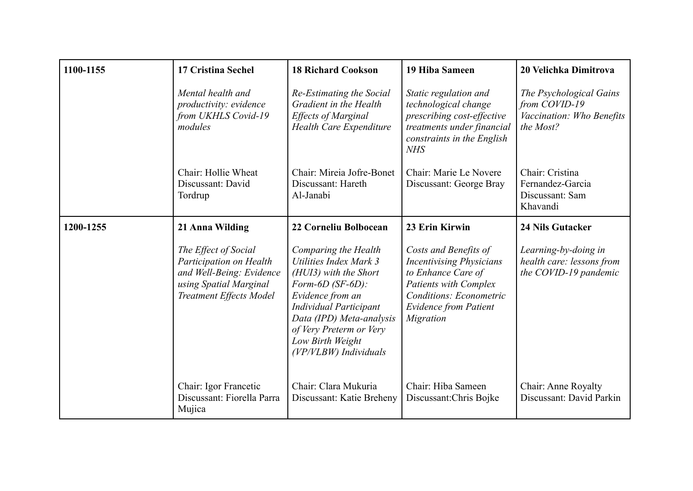| 1100-1155 | <b>17 Cristina Sechel</b>                                                                                                               | <b>18 Richard Cookson</b>                                                                                                                                                                                                                            | <b>19 Hiba Sameen</b>                                                                                                                                                                  | 20 Velichka Dimitrova                                                              |
|-----------|-----------------------------------------------------------------------------------------------------------------------------------------|------------------------------------------------------------------------------------------------------------------------------------------------------------------------------------------------------------------------------------------------------|----------------------------------------------------------------------------------------------------------------------------------------------------------------------------------------|------------------------------------------------------------------------------------|
|           | Mental health and<br>productivity: evidence<br>from UKHLS Covid-19<br>modules                                                           | Re-Estimating the Social<br>Gradient in the Health<br><b>Effects of Marginal</b><br><b>Health Care Expenditure</b>                                                                                                                                   | Static regulation and<br>technological change<br>prescribing cost-effective<br>treatments under financial<br>constraints in the English<br><b>NHS</b>                                  | The Psychological Gains<br>from COVID-19<br>Vaccination: Who Benefits<br>the Most? |
|           | Chair: Hollie Wheat<br>Discussant: David<br>Tordrup                                                                                     | Chair: Mireia Jofre-Bonet<br>Discussant: Hareth<br>Al-Janabi                                                                                                                                                                                         | Chair: Marie Le Novere<br>Discussant: George Bray                                                                                                                                      | Chair: Cristina<br>Fernandez-Garcia<br>Discussant: Sam<br>Khavandi                 |
| 1200-1255 | 21 Anna Wilding                                                                                                                         | 22 Corneliu Bolbocean                                                                                                                                                                                                                                | 23 Erin Kirwin                                                                                                                                                                         | <b>24 Nils Gutacker</b>                                                            |
|           | The Effect of Social<br>Participation on Health<br>and Well-Being: Evidence<br>using Spatial Marginal<br><b>Treatment Effects Model</b> | Comparing the Health<br>Utilities Index Mark 3<br>(HUI3) with the Short<br>Form-6D (SF-6D):<br>Evidence from an<br><b>Individual Participant</b><br>Data (IPD) Meta-analysis<br>of Very Preterm or Very<br>Low Birth Weight<br>(VP/VLBW) Individuals | Costs and Benefits of<br><b>Incentivising Physicians</b><br>to Enhance Care of<br><b>Patients with Complex</b><br>Conditions: Econometric<br><b>Evidence from Patient</b><br>Migration | Learning-by-doing in<br>health care: lessons from<br>the COVID-19 pandemic         |
|           | Chair: Igor Francetic<br>Discussant: Fiorella Parra<br>Mujica                                                                           | Chair: Clara Mukuria<br>Discussant: Katie Breheny                                                                                                                                                                                                    | Chair: Hiba Sameen<br>Discussant: Chris Bojke                                                                                                                                          | Chair: Anne Royalty<br>Discussant: David Parkin                                    |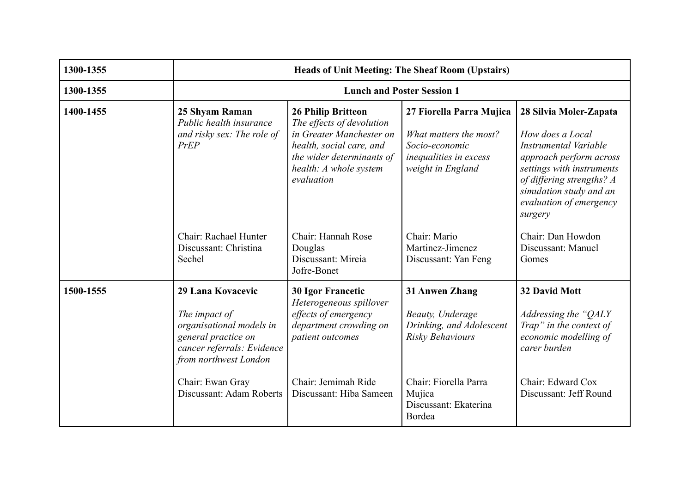| 1300-1355 | <b>Heads of Unit Meeting: The Sheaf Room (Upstairs)</b>                                                                                                          |                                                                                                                                                                                     |                                                                                                                     |                                                                                                                                                                                                                           |
|-----------|------------------------------------------------------------------------------------------------------------------------------------------------------------------|-------------------------------------------------------------------------------------------------------------------------------------------------------------------------------------|---------------------------------------------------------------------------------------------------------------------|---------------------------------------------------------------------------------------------------------------------------------------------------------------------------------------------------------------------------|
| 1300-1355 |                                                                                                                                                                  | <b>Lunch and Poster Session 1</b>                                                                                                                                                   |                                                                                                                     |                                                                                                                                                                                                                           |
| 1400-1455 | 25 Shyam Raman<br>Public health insurance<br>and risky sex: The role of<br>PrEP                                                                                  | <b>26 Philip Britteon</b><br>The effects of devolution<br>in Greater Manchester on<br>health, social care, and<br>the wider determinants of<br>health: A whole system<br>evaluation | 27 Fiorella Parra Mujica<br>What matters the most?<br>Socio-economic<br>inequalities in excess<br>weight in England | 28 Silvia Moler-Zapata<br>How does a Local<br>Instrumental Variable<br>approach perform across<br>settings with instruments<br>of differing strengths? A<br>simulation study and an<br>evaluation of emergency<br>surgery |
|           | Chair: Rachael Hunter<br>Discussant: Christina<br>Sechel                                                                                                         | Chair: Hannah Rose<br>Douglas<br>Discussant: Mireia<br>Jofre-Bonet                                                                                                                  | Chair: Mario<br>Martinez-Jimenez<br>Discussant: Yan Feng                                                            | Chair: Dan Howdon<br>Discussant: Manuel<br>Gomes                                                                                                                                                                          |
| 1500-1555 | 29 Lana Kovacevic<br>The impact of<br>organisational models in<br>general practice on<br>cancer referrals: Evidence<br>from northwest London<br>Chair: Ewan Gray | <b>30 Igor Francetic</b><br>Heterogeneous spillover<br>effects of emergency<br>department crowding on<br>patient outcomes<br>Chair: Jemimah Ride                                    | 31 Anwen Zhang<br>Beauty, Underage<br>Drinking, and Adolescent<br>Risky Behaviours<br>Chair: Fiorella Parra         | <b>32 David Mott</b><br>Addressing the "QALY<br>Trap" in the context of<br>economic modelling of<br>carer burden<br>Chair: Edward Cox                                                                                     |
|           | Discussant: Adam Roberts                                                                                                                                         | Discussant: Hiba Sameen                                                                                                                                                             | Mujica<br>Discussant: Ekaterina<br>Bordea                                                                           | Discussant: Jeff Round                                                                                                                                                                                                    |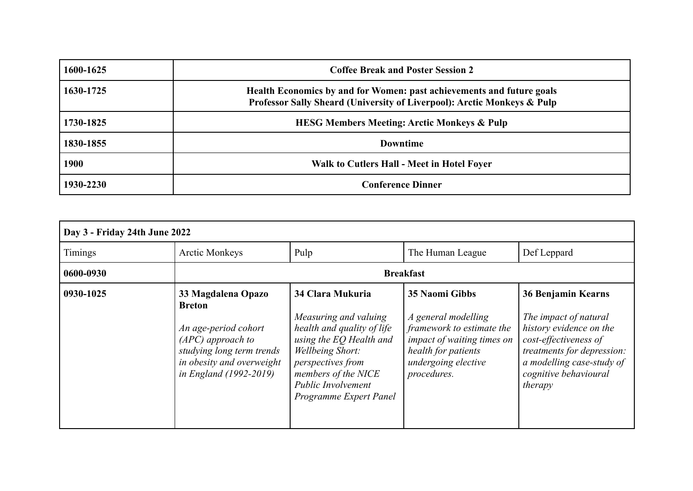| 1600-1625 | <b>Coffee Break and Poster Session 2</b>                                                                                                         |
|-----------|--------------------------------------------------------------------------------------------------------------------------------------------------|
| 1630-1725 | Health Economics by and for Women: past achievements and future goals<br>Professor Sally Sheard (University of Liverpool): Arctic Monkeys & Pulp |
| 1730-1825 | <b>HESG Members Meeting: Arctic Monkeys &amp; Pulp</b>                                                                                           |
| 1830-1855 | <b>Downtime</b>                                                                                                                                  |
| 1900      | Walk to Cutlers Hall - Meet in Hotel Foyer                                                                                                       |
| 1930-2230 | <b>Conference Dinner</b>                                                                                                                         |

| Day 3 - Friday 24th June 2022 |                                                                                                                                                                               |                                                                                                                                                                                                                           |                                                                                                                                                                      |                                                                                                                                                                                                       |
|-------------------------------|-------------------------------------------------------------------------------------------------------------------------------------------------------------------------------|---------------------------------------------------------------------------------------------------------------------------------------------------------------------------------------------------------------------------|----------------------------------------------------------------------------------------------------------------------------------------------------------------------|-------------------------------------------------------------------------------------------------------------------------------------------------------------------------------------------------------|
| Timings                       | <b>Arctic Monkeys</b>                                                                                                                                                         | Pulp                                                                                                                                                                                                                      | The Human League                                                                                                                                                     | Def Leppard                                                                                                                                                                                           |
| 0600-0930                     | <b>Breakfast</b>                                                                                                                                                              |                                                                                                                                                                                                                           |                                                                                                                                                                      |                                                                                                                                                                                                       |
| 0930-1025                     | 33 Magdalena Opazo<br><b>Breton</b><br>An age-period cohort<br>$(APC)$ approach to<br>studying long term trends<br>in obesity and overweight<br><i>in England (1992-2019)</i> | 34 Clara Mukuria<br>Measuring and valuing<br>health and quality of life<br>using the EQ Health and<br>Wellbeing Short:<br>perspectives from<br>members of the NICE<br><b>Public Involvement</b><br>Programme Expert Panel | <b>35 Naomi Gibbs</b><br>A general modelling<br>framework to estimate the<br>impact of waiting times on<br>health for patients<br>undergoing elective<br>procedures. | <b>36 Benjamin Kearns</b><br>The impact of natural<br>history evidence on the<br>cost-effectiveness of<br>treatments for depression:<br>a modelling case-study of<br>cognitive behavioural<br>therapy |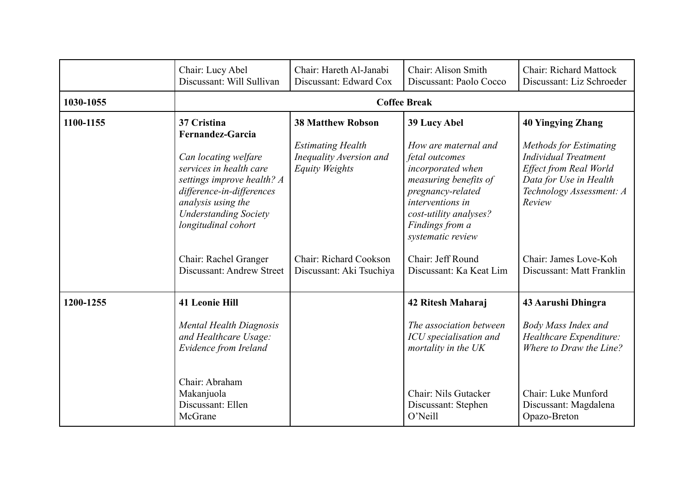|           | Chair: Lucy Abel<br>Discussant: Will Sullivan                                                                                                                                                                                     | Chair: Hareth Al-Janabi<br>Discussant: Edward Cox                                                        | Chair: Alison Smith<br>Discussant: Paolo Cocco                                                                                                                                                                  | <b>Chair: Richard Mattock</b><br>Discussant: Liz Schroeder                                                                                                                  |
|-----------|-----------------------------------------------------------------------------------------------------------------------------------------------------------------------------------------------------------------------------------|----------------------------------------------------------------------------------------------------------|-----------------------------------------------------------------------------------------------------------------------------------------------------------------------------------------------------------------|-----------------------------------------------------------------------------------------------------------------------------------------------------------------------------|
| 1030-1055 |                                                                                                                                                                                                                                   |                                                                                                          | <b>Coffee Break</b>                                                                                                                                                                                             |                                                                                                                                                                             |
| 1100-1155 | 37 Cristina<br><b>Fernandez-Garcia</b><br>Can locating welfare<br>services in health care<br>settings improve health? A<br>difference-in-differences<br>analysis using the<br><b>Understanding Society</b><br>longitudinal cohort | <b>38 Matthew Robson</b><br><b>Estimating Health</b><br>Inequality Aversion and<br><b>Equity Weights</b> | 39 Lucy Abel<br>How are maternal and<br>fetal outcomes<br>incorporated when<br>measuring benefits of<br>pregnancy-related<br>interventions in<br>cost-utility analyses?<br>Findings from a<br>systematic review | <b>40 Yingying Zhang</b><br>Methods for Estimating<br><b>Individual Treatment</b><br>Effect from Real World<br>Data for Use in Health<br>Technology Assessment: A<br>Review |
|           | Chair: Rachel Granger<br>Discussant: Andrew Street                                                                                                                                                                                | Chair: Richard Cookson<br>Discussant: Aki Tsuchiya                                                       | Chair: Jeff Round<br>Discussant: Ka Keat Lim                                                                                                                                                                    | Chair: James Love-Koh<br>Discussant: Matt Franklin                                                                                                                          |
| 1200-1255 | <b>41 Leonie Hill</b><br>Mental Health Diagnosis<br>and Healthcare Usage:<br>Evidence from Ireland<br>Chair: Abraham<br>Makanjuola<br>Discussant: Ellen<br>McGrane                                                                |                                                                                                          | 42 Ritesh Maharaj<br>The association between<br>ICU specialisation and<br>mortality in the UK<br>Chair: Nils Gutacker<br>Discussant: Stephen<br>O'Neill                                                         | 43 Aarushi Dhingra<br><b>Body Mass Index and</b><br>Healthcare Expenditure:<br>Where to Draw the Line?<br>Chair: Luke Munford<br>Discussant: Magdalena<br>Opazo-Breton      |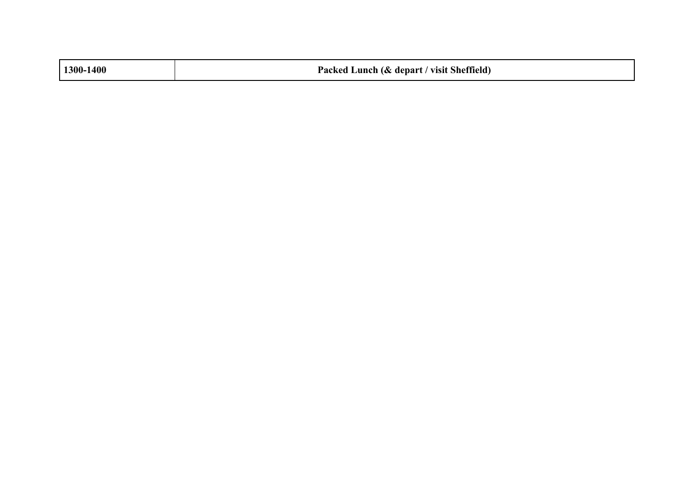| 1300-1400 | Packed Lunch (& depart / visit Sheffield)<br>$\overline{\phantom{a}}$<br>the contract of the contract of the contract of the contract of the contract of the contract of the contract of |
|-----------|------------------------------------------------------------------------------------------------------------------------------------------------------------------------------------------|
|           |                                                                                                                                                                                          |